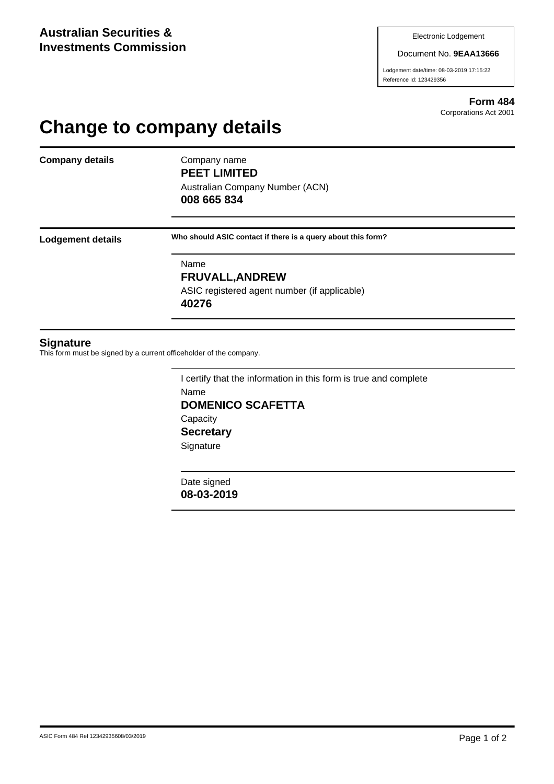#### Document No. **9EAA13666**

Lodgement date/time: 08-03-2019 17:15:22 Reference Id: 123429356

> **Form 484** Corporations Act 2001

# **Change to company details**

**Company details** Company name

**PEET LIMITED** Australian Company Number (ACN)

**008 665 834**

**Lodgement details Who should ASIC contact if there is a query about this form?**

Name **FRUVALL,ANDREW** ASIC registered agent number (if applicable) **40276**

### **Signature**

This form must be signed by a current officeholder of the company.

I certify that the information in this form is true and complete Name **DOMENICO SCAFETTA Capacity Secretary Signature** 

Date signed **08-03-2019**